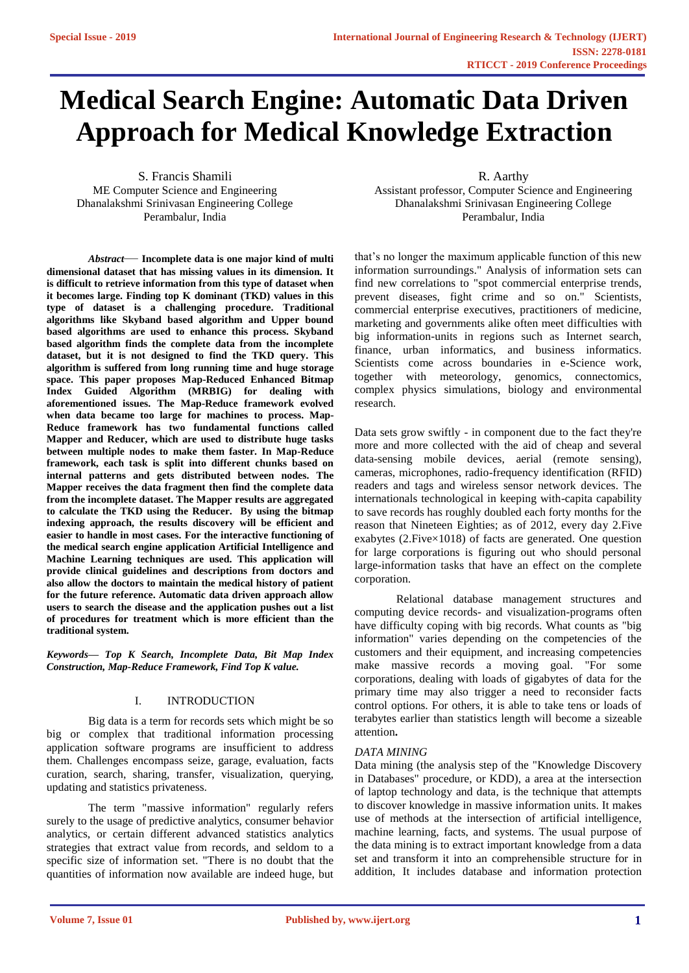# **Medical Search Engine: Automatic Data Driven Approach for Medical Knowledge Extraction**

S. Francis Shamili ME Computer Science and Engineering Dhanalakshmi Srinivasan Engineering College Perambalur, India

*Abstract*— **Incomplete data is one major kind of multi dimensional dataset that has missing values in its dimension. It is difficult to retrieve information from this type of dataset when it becomes large. Finding top K dominant (TKD) values in this type of dataset is a challenging procedure. Traditional algorithms like Skyband based algorithm and Upper bound based algorithms are used to enhance this process. Skyband based algorithm finds the complete data from the incomplete dataset, but it is not designed to find the TKD query. This algorithm is suffered from long running time and huge storage space. This paper proposes Map-Reduced Enhanced Bitmap Index Guided Algorithm (MRBIG) for dealing with aforementioned issues. The Map-Reduce framework evolved when data became too large for machines to process. Map-Reduce framework has two fundamental functions called Mapper and Reducer, which are used to distribute huge tasks between multiple nodes to make them faster. In Map-Reduce framework, each task is split into different chunks based on internal patterns and gets distributed between nodes. The Mapper receives the data fragment then find the complete data from the incomplete dataset. The Mapper results are aggregated to calculate the TKD using the Reducer. By using the bitmap indexing approach, the results discovery will be efficient and easier to handle in most cases. For the interactive functioning of the medical search engine application Artificial Intelligence and Machine Learning techniques are used. This application will provide clinical guidelines and descriptions from doctors and also allow the doctors to maintain the medical history of patient for the future reference. Automatic data driven approach allow users to search the disease and the application pushes out a list of procedures for treatment which is more efficient than the traditional system.**

*Keywords— Top K Search, Incomplete Data, Bit Map Index Construction, Map-Reduce Framework, Find Top K value.*

#### I. INTRODUCTION

Big data is a term for records sets which might be so big or complex that traditional information processing application software programs are insufficient to address them. Challenges encompass seize, garage, evaluation, facts curation, search, sharing, transfer, visualization, querying, updating and statistics privateness.

The term "massive information" regularly refers surely to the usage of predictive analytics, consumer behavior analytics, or certain different advanced statistics analytics strategies that extract value from records, and seldom to a specific size of information set. "There is no doubt that the quantities of information now available are indeed huge, but R. Aarthy

Assistant professor, Computer Science and Engineering Dhanalakshmi Srinivasan Engineering College Perambalur, India

that's no longer the maximum applicable function of this new information surroundings." Analysis of information sets can find new correlations to "spot commercial enterprise trends, prevent diseases, fight crime and so on." Scientists, commercial enterprise executives, practitioners of medicine, marketing and governments alike often meet difficulties with big information-units in regions such as Internet search, finance, urban informatics, and business informatics. Scientists come across boundaries in e-Science work, together with meteorology, genomics, connectomics, complex physics simulations, biology and environmental research.

Data sets grow swiftly - in component due to the fact they're more and more collected with the aid of cheap and several data-sensing mobile devices, aerial (remote sensing), cameras, microphones, radio-frequency identification (RFID) readers and tags and wireless sensor network devices. The internationals technological in keeping with-capita capability to save records has roughly doubled each forty months for the reason that Nineteen Eighties; as of 2012, every day 2.Five exabytes (2.Five×1018) of facts are generated. One question for large corporations is figuring out who should personal large-information tasks that have an effect on the complete corporation.

Relational database management structures and computing device records- and visualization-programs often have difficulty coping with big records. What counts as "big information" varies depending on the competencies of the customers and their equipment, and increasing competencies make massive records a moving goal. "For some corporations, dealing with loads of gigabytes of data for the primary time may also trigger a need to reconsider facts control options. For others, it is able to take tens or loads of terabytes earlier than statistics length will become a sizeable attention**.**

#### *DATA MINING*

Data mining (the analysis step of the "Knowledge Discovery in Databases" procedure, or KDD), a area at the intersection of laptop technology and data, is the technique that attempts to discover knowledge in massive information units. It makes use of methods at the intersection of artificial intelligence, machine learning, facts, and systems. The usual purpose of the data mining is to extract important knowledge from a data set and transform it into an comprehensible structure for in addition, It includes database and information protection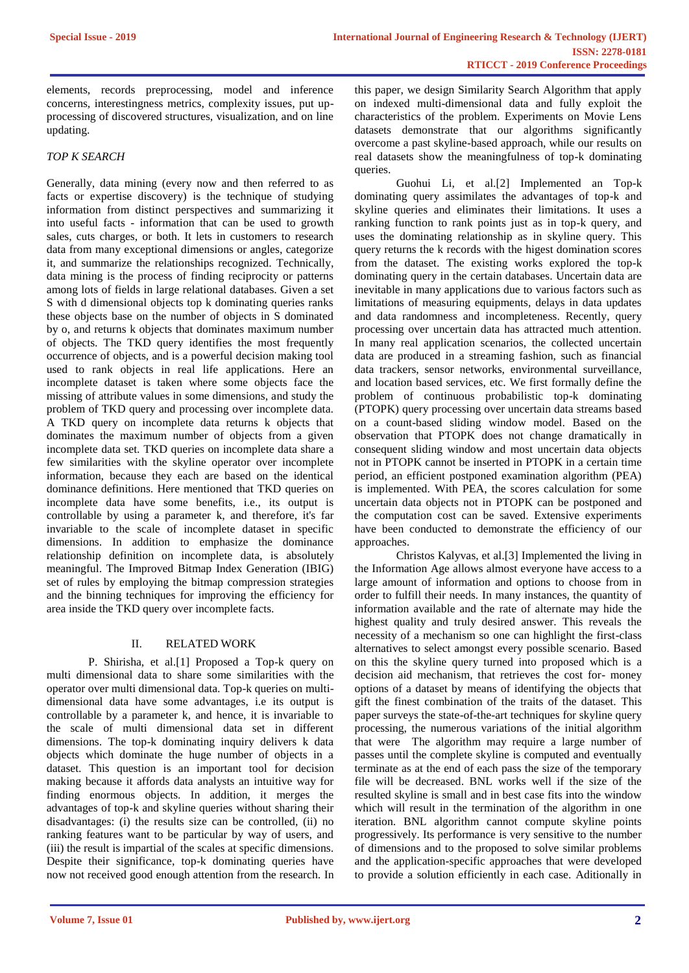elements, records preprocessing, model and inference concerns, interestingness metrics, complexity issues, put upprocessing of discovered structures, visualization, and on line updating.

#### *TOP K SEARCH*

Generally, data mining (every now and then referred to as facts or expertise discovery) is the technique of studying information from distinct perspectives and summarizing it into useful facts - information that can be used to growth sales, cuts charges, or both. It lets in customers to research data from many exceptional dimensions or angles, categorize it, and summarize the relationships recognized. Technically, data mining is the process of finding reciprocity or patterns among lots of fields in large relational databases. Given a set S with d dimensional objects top k dominating queries ranks these objects base on the number of objects in S dominated by o, and returns k objects that dominates maximum number of objects. The TKD query identifies the most frequently occurrence of objects, and is a powerful decision making tool used to rank objects in real life applications. Here an incomplete dataset is taken where some objects face the missing of attribute values in some dimensions, and study the problem of TKD query and processing over incomplete data. A TKD query on incomplete data returns k objects that dominates the maximum number of objects from a given incomplete data set. TKD queries on incomplete data share a few similarities with the skyline operator over incomplete information, because they each are based on the identical dominance definitions. Here mentioned that TKD queries on incomplete data have some benefits, i.e., its output is controllable by using a parameter k, and therefore, it's far invariable to the scale of incomplete dataset in specific dimensions. In addition to emphasize the dominance relationship definition on incomplete data, is absolutely meaningful. The Improved Bitmap Index Generation (IBIG) set of rules by employing the bitmap compression strategies and the binning techniques for improving the efficiency for area inside the TKD query over incomplete facts.

#### II. RELATED WORK

P. Shirisha, et al.[1] Proposed a Top-k query on multi dimensional data to share some similarities with the operator over multi dimensional data. Top-k queries on multidimensional data have some advantages, i.e its output is controllable by a parameter k, and hence, it is invariable to the scale of multi dimensional data set in different dimensions. The top-k dominating inquiry delivers k data objects which dominate the huge number of objects in a dataset. This question is an important tool for decision making because it affords data analysts an intuitive way for finding enormous objects. In addition, it merges the advantages of top-k and skyline queries without sharing their disadvantages: (i) the results size can be controlled, (ii) no ranking features want to be particular by way of users, and (iii) the result is impartial of the scales at specific dimensions. Despite their significance, top-k dominating queries have now not received good enough attention from the research. In

this paper, we design Similarity Search Algorithm that apply on indexed multi-dimensional data and fully exploit the characteristics of the problem. Experiments on Movie Lens datasets demonstrate that our algorithms significantly overcome a past skyline-based approach, while our results on real datasets show the meaningfulness of top-k dominating queries.

Guohui Li, et al.[2] Implemented an Top-k dominating query assimilates the advantages of top-k and skyline queries and eliminates their limitations. It uses a ranking function to rank points just as in top-k query, and uses the dominating relationship as in skyline query. This query returns the k records with the higest domination scores from the dataset. The existing works explored the top-k dominating query in the certain databases. Uncertain data are inevitable in many applications due to various factors such as limitations of measuring equipments, delays in data updates and data randomness and incompleteness. Recently, query processing over uncertain data has attracted much attention. In many real application scenarios, the collected uncertain data are produced in a streaming fashion, such as financial data trackers, sensor networks, environmental surveillance, and location based services, etc. We first formally define the problem of continuous probabilistic top-k dominating (PTOPK) query processing over uncertain data streams based on a count-based sliding window model. Based on the observation that PTOPK does not change dramatically in consequent sliding window and most uncertain data objects not in PTOPK cannot be inserted in PTOPK in a certain time period, an efficient postponed examination algorithm (PEA) is implemented. With PEA, the scores calculation for some uncertain data objects not in PTOPK can be postponed and the computation cost can be saved. Extensive experiments have been conducted to demonstrate the efficiency of our approaches.

Christos Kalyvas, et al.[3] Implemented the living in the Information Age allows almost everyone have access to a large amount of information and options to choose from in order to fulfill their needs. In many instances, the quantity of information available and the rate of alternate may hide the highest quality and truly desired answer. This reveals the necessity of a mechanism so one can highlight the first-class alternatives to select amongst every possible scenario. Based on this the skyline query turned into proposed which is a decision aid mechanism, that retrieves the cost for- money options of a dataset by means of identifying the objects that gift the finest combination of the traits of the dataset. This paper surveys the state-of-the-art techniques for skyline query processing, the numerous variations of the initial algorithm that were The algorithm may require a large number of passes until the complete skyline is computed and eventually terminate as at the end of each pass the size of the temporary file will be decreased. BNL works well if the size of the resulted skyline is small and in best case fits into the window which will result in the termination of the algorithm in one iteration. BNL algorithm cannot compute skyline points progressively. Its performance is very sensitive to the number of dimensions and to the proposed to solve similar problems and the application-specific approaches that were developed to provide a solution efficiently in each case. Aditionally in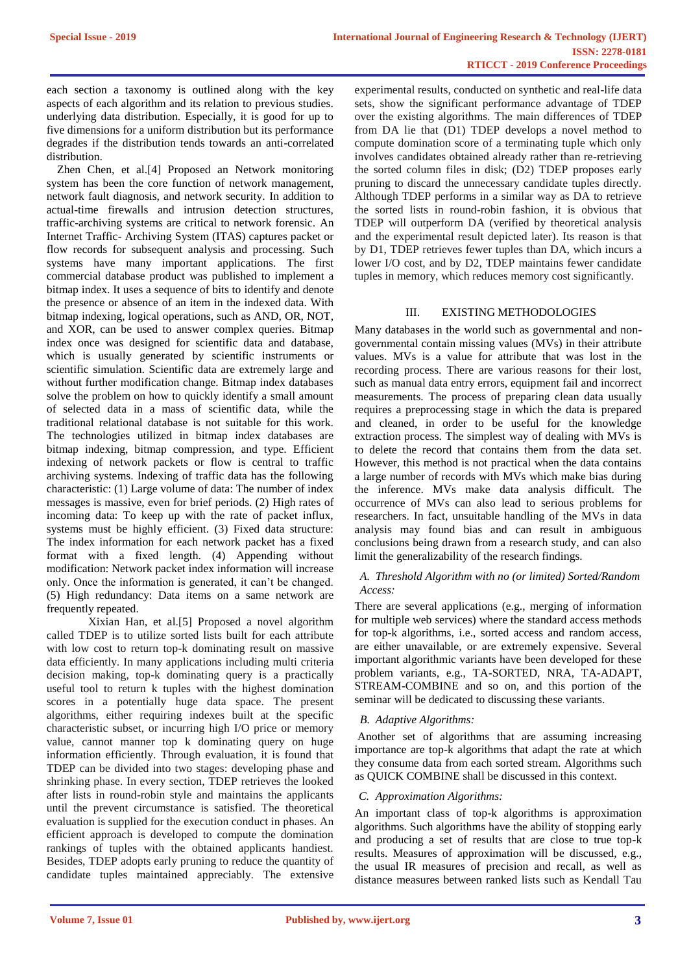each section a taxonomy is outlined along with the key aspects of each algorithm and its relation to previous studies. underlying data distribution. Especially, it is good for up to five dimensions for a uniform distribution but its performance degrades if the distribution tends towards an anti-correlated distribution.

Zhen Chen, et al.[4] Proposed an Network monitoring system has been the core function of network management, network fault diagnosis, and network security. In addition to actual-time firewalls and intrusion detection structures, traffic-archiving systems are critical to network forensic. An Internet Traffic- Archiving System (ITAS) captures packet or flow records for subsequent analysis and processing. Such systems have many important applications. The first commercial database product was published to implement a bitmap index. It uses a sequence of bits to identify and denote the presence or absence of an item in the indexed data. With bitmap indexing, logical operations, such as AND, OR, NOT, and XOR, can be used to answer complex queries. Bitmap index once was designed for scientific data and database, which is usually generated by scientific instruments or scientific simulation. Scientific data are extremely large and without further modification change. Bitmap index databases solve the problem on how to quickly identify a small amount of selected data in a mass of scientific data, while the traditional relational database is not suitable for this work. The technologies utilized in bitmap index databases are bitmap indexing, bitmap compression, and type. Efficient indexing of network packets or flow is central to traffic archiving systems. Indexing of traffic data has the following characteristic: (1) Large volume of data: The number of index messages is massive, even for brief periods. (2) High rates of incoming data: To keep up with the rate of packet influx, systems must be highly efficient. (3) Fixed data structure: The index information for each network packet has a fixed format with a fixed length. (4) Appending without modification: Network packet index information will increase only. Once the information is generated, it can't be changed. (5) High redundancy: Data items on a same network are frequently repeated.

Xixian Han, et al.[5] Proposed a novel algorithm called TDEP is to utilize sorted lists built for each attribute with low cost to return top-k dominating result on massive data efficiently. In many applications including multi criteria decision making, top-k dominating query is a practically useful tool to return k tuples with the highest domination scores in a potentially huge data space. The present algorithms, either requiring indexes built at the specific characteristic subset, or incurring high I/O price or memory value, cannot manner top k dominating query on huge information efficiently. Through evaluation, it is found that TDEP can be divided into two stages: developing phase and shrinking phase. In every section, TDEP retrieves the looked after lists in round-robin style and maintains the applicants until the prevent circumstance is satisfied. The theoretical evaluation is supplied for the execution conduct in phases. An efficient approach is developed to compute the domination rankings of tuples with the obtained applicants handiest. Besides, TDEP adopts early pruning to reduce the quantity of candidate tuples maintained appreciably. The extensive experimental results, conducted on synthetic and real-life data sets, show the significant performance advantage of TDEP over the existing algorithms. The main differences of TDEP from DA lie that (D1) TDEP develops a novel method to compute domination score of a terminating tuple which only involves candidates obtained already rather than re-retrieving the sorted column files in disk; (D2) TDEP proposes early pruning to discard the unnecessary candidate tuples directly. Although TDEP performs in a similar way as DA to retrieve the sorted lists in round-robin fashion, it is obvious that TDEP will outperform DA (verified by theoretical analysis and the experimental result depicted later). Its reason is that by D1, TDEP retrieves fewer tuples than DA, which incurs a lower I/O cost, and by D2, TDEP maintains fewer candidate tuples in memory, which reduces memory cost significantly.

## III. EXISTING METHODOLOGIES

Many databases in the world such as governmental and nongovernmental contain missing values (MVs) in their attribute values. MVs is a value for attribute that was lost in the recording process. There are various reasons for their lost, such as manual data entry errors, equipment fail and incorrect measurements. The process of preparing clean data usually requires a preprocessing stage in which the data is prepared and cleaned, in order to be useful for the knowledge extraction process. The simplest way of dealing with MVs is to delete the record that contains them from the data set. However, this method is not practical when the data contains a large number of records with MVs which make bias during the inference. MVs make data analysis difficult. The occurrence of MVs can also lead to serious problems for researchers. In fact, unsuitable handling of the MVs in data analysis may found bias and can result in ambiguous conclusions being drawn from a research study, and can also limit the generalizability of the research findings.

#### *A. Threshold Algorithm with no (or limited) Sorted/Random Access:*

There are several applications (e.g., merging of information for multiple web services) where the standard access methods for top-k algorithms, i.e., sorted access and random access, are either unavailable, or are extremely expensive. Several important algorithmic variants have been developed for these problem variants, e.g., TA-SORTED, NRA, TA-ADAPT, STREAM-COMBINE and so on, and this portion of the seminar will be dedicated to discussing these variants.

### *B. Adaptive Algorithms:*

Another set of algorithms that are assuming increasing importance are top-k algorithms that adapt the rate at which they consume data from each sorted stream. Algorithms such as QUICK COMBINE shall be discussed in this context.

#### *C. Approximation Algorithms:*

An important class of top-k algorithms is approximation algorithms. Such algorithms have the ability of stopping early and producing a set of results that are close to true top-k results. Measures of approximation will be discussed, e.g., the usual IR measures of precision and recall, as well as distance measures between ranked lists such as Kendall Tau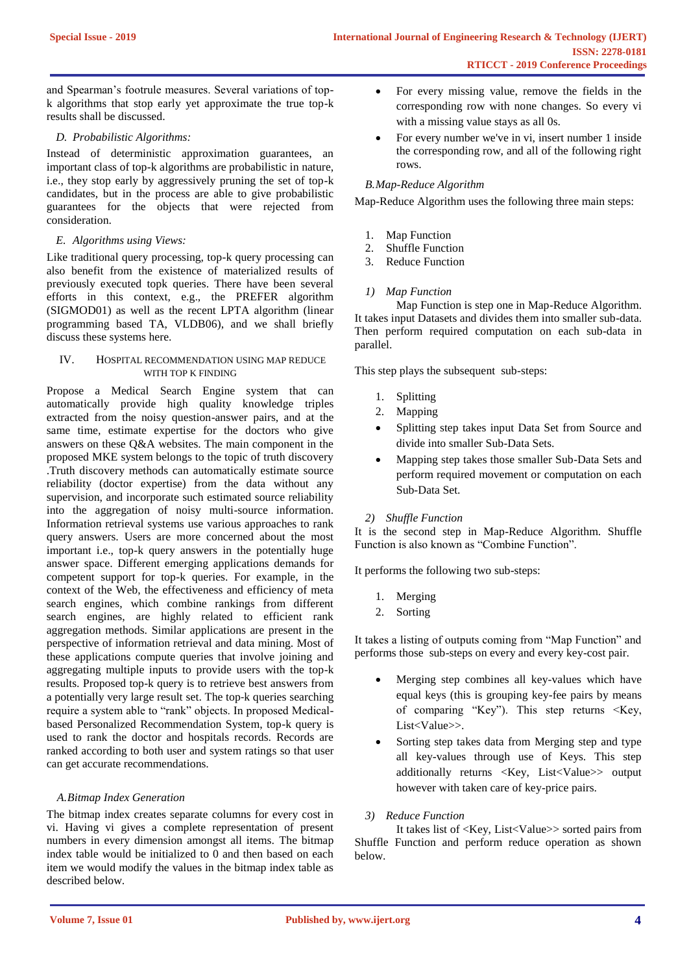and Spearman's footrule measures. Several variations of topk algorithms that stop early yet approximate the true top-k results shall be discussed.

### *D. Probabilistic Algorithms:*

Instead of deterministic approximation guarantees, an important class of top-k algorithms are probabilistic in nature, i.e., they stop early by aggressively pruning the set of top-k candidates, but in the process are able to give probabilistic guarantees for the objects that were rejected from consideration.

#### *E. Algorithms using Views:*

Like traditional query processing, top-k query processing can also benefit from the existence of materialized results of previously executed topk queries. There have been several efforts in this context, e.g., the PREFER algorithm (SIGMOD01) as well as the recent LPTA algorithm (linear programming based TA, VLDB06), and we shall briefly discuss these systems here.

#### IV. HOSPITAL RECOMMENDATION USING MAP REDUCE WITH TOP K FINDING

Propose a Medical Search Engine system that can automatically provide high quality knowledge triples extracted from the noisy question-answer pairs, and at the same time, estimate expertise for the doctors who give answers on these Q&A websites. The main component in the proposed MKE system belongs to the topic of truth discovery .Truth discovery methods can automatically estimate source reliability (doctor expertise) from the data without any supervision, and incorporate such estimated source reliability into the aggregation of noisy multi-source information. Information retrieval systems use various approaches to rank query answers. Users are more concerned about the most important i.e., top-k query answers in the potentially huge answer space. Different emerging applications demands for competent support for top-k queries. For example, in the context of the Web, the effectiveness and efficiency of meta search engines, which combine rankings from different search engines, are highly related to efficient rank aggregation methods. Similar applications are present in the perspective of information retrieval and data mining. Most of these applications compute queries that involve joining and aggregating multiple inputs to provide users with the top-k results. Proposed top-k query is to retrieve best answers from a potentially very large result set. The top‐k queries searching require a system able to "rank" objects. In proposed Medicalbased Personalized Recommendation System, top-k query is used to rank the doctor and hospitals records. Records are ranked according to both user and system ratings so that user can get accurate recommendations.

#### *A.Bitmap Index Generation*

The bitmap index creates separate columns for every cost in vi. Having vi gives a complete representation of present numbers in every dimension amongst all items. The bitmap index table would be initialized to 0 and then based on each item we would modify the values in the bitmap index table as described below.

- For every missing value, remove the fields in the corresponding row with none changes. So every vi with a missing value stays as all 0s.
- For every number we've in vi, insert number 1 inside the corresponding row, and all of the following right rows.

#### *B.Map-Reduce Algorithm*

Map-Reduce Algorithm uses the following three main steps:

- 1. Map Function
- 2. Shuffle Function
- 3. Reduce Function

#### *1) Map Function*

Map Function is step one in Map-Reduce Algorithm. It takes input Datasets and divides them into smaller sub-data. Then perform required computation on each sub-data in parallel.

This step plays the subsequent sub-steps:

- 1. Splitting
- 2. Mapping
- Splitting step takes input Data Set from Source and divide into smaller Sub-Data Sets.
- Mapping step takes those smaller Sub-Data Sets and perform required movement or computation on each Sub-Data Set.

#### *2) Shuffle Function*

It is the second step in Map-Reduce Algorithm. Shuffle Function is also known as "Combine Function".

It performs the following two sub-steps:

- 1. Merging
- 2. Sorting

It takes a listing of outputs coming from "Map Function" and performs those sub-steps on every and every key-cost pair.

- Merging step combines all key-values which have equal keys (this is grouping key-fee pairs by means of comparing "Key"). This step returns <Key, List<Value>>.
- Sorting step takes data from Merging step and type all key-values through use of Keys. This step additionally returns <Key, List<Value>> output however with taken care of key-price pairs.

#### *3) Reduce Function*

It takes list of <Key, List<Value>> sorted pairs from Shuffle Function and perform reduce operation as shown below.